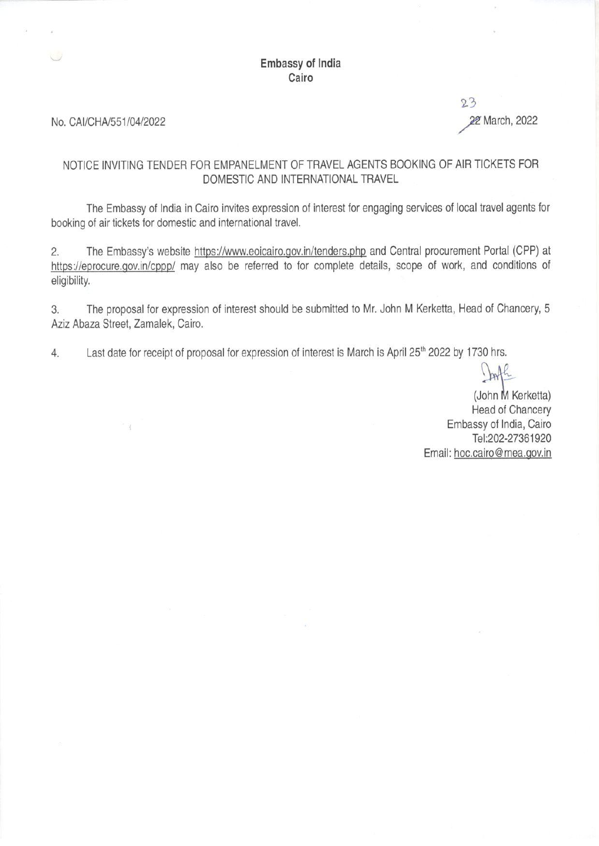# **Embassy of India** Cairo

#### No. CAI/CHA/551/04/2022

# 23 22 March, 2022

# NOTICE INVITING TENDER FOR EMPANELMENT OF TRAVEL AGENTS BOOKING OF AIR TICKETS FOR DOMESTIC AND INTERNATIONAL TRAVEL

The Embassy of India in Cairo invites expression of interest for engaging services of local travel agents for booking of air tickets for domestic and international travel.

The Embassy's website https://www.eoicairo.gov.in/tenders.php and Central procurement Portal (CPP) at  $2.$ https://eprocure.gov.in/cppp/ may also be referred to for complete details, scope of work, and conditions of eligibility.

The proposal for expression of interest should be submitted to Mr. John M Kerketta, Head of Chancery, 5 3. Aziz Abaza Street, Zamalek, Cairo.

Last date for receipt of proposal for expression of interest is March is April 25<sup>th</sup> 2022 by 1730 hrs.  $4.$ 

Josh

(John M Kerketta) **Head of Chancery** Embassy of India, Cairo Tel:202-27361920 Email: hoc.cairo@mea.gov.in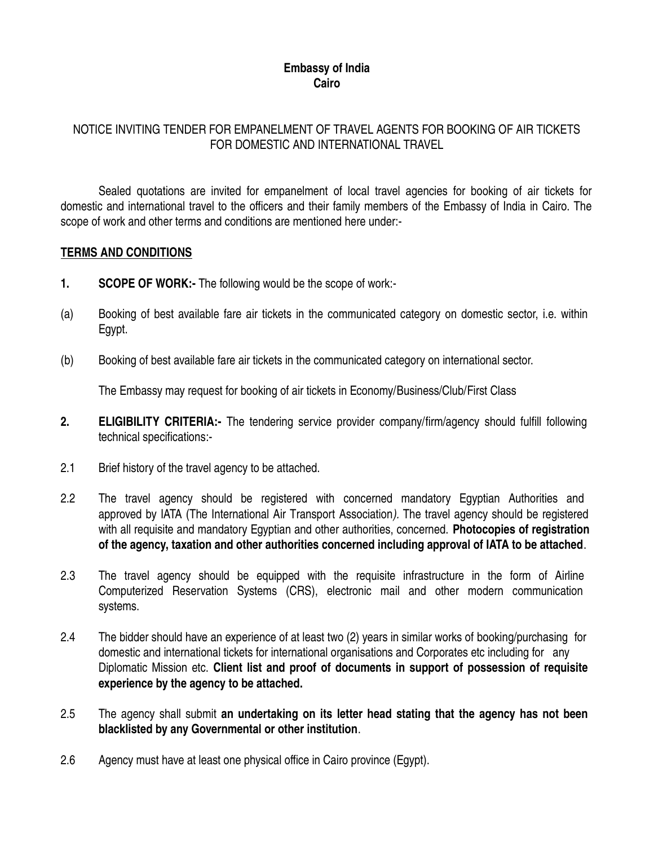### **Embassy of India Cairo**

# NOTICE INVITING TENDER FOR EMPANELMENT OF TRAVEL AGENTS FOR BOOKING OF AIR TICKETS FOR DOMESTIC AND INTERNATIONAL TRAVEL

Sealed quotations are invited for empanelment of local travel agencies for booking of air tickets for domestic and international travel to the officers and their family members of the Embassy of India in Cairo. The scope of work and other terms and conditions are mentioned here under:-

#### **TERMS AND CONDITIONS**

- **1. SCOPE OF WORK:-** The following would be the scope of work:-
- (a) Booking of best available fare air tickets in the communicated category on domestic sector, i.e. within Egypt.
- (b) Booking of best available fare air tickets in the communicated category on international sector.

The Embassy may request for booking of air tickets in Economy/Business/Club/First Class

- **2. ELIGIBILITY CRITERIA:-** The tendering service provider company/firm/agency should fulfill following technical specifications:-
- 2.1 Brief history of the travel agency to be attached.
- 2.2 The travel agency should be registered with concerned mandatory Egyptian Authorities and approved by IATA (The International Air Transport Association). The travel agency should be registered with all requisite and mandatory Egyptian and other authorities, concerned. **Photocopies of registration of the agency, taxation and other authorities concerned including approval of IATA to be attached**.
- 2.3 The travel agency should be equipped with the requisite infrastructure in the form of Airline Computerized Reservation Systems (CRS), electronic mail and other modern communication systems.
- 2.4 The bidder should have an experience of at least two (2) years in similar works of booking/purchasing for domestic and international tickets for international organisations and Corporates etc including for any Diplomatic Mission etc. **Client list and proof of documents in support of possession of requisite experience by the agency to be attached.**
- 2.5 The agency shall submit **an undertaking on its letter head stating that the agency has not been blacklisted by any Governmental or other institution**.
- 2.6 Agency must have at least one physical office in Cairo province (Egypt).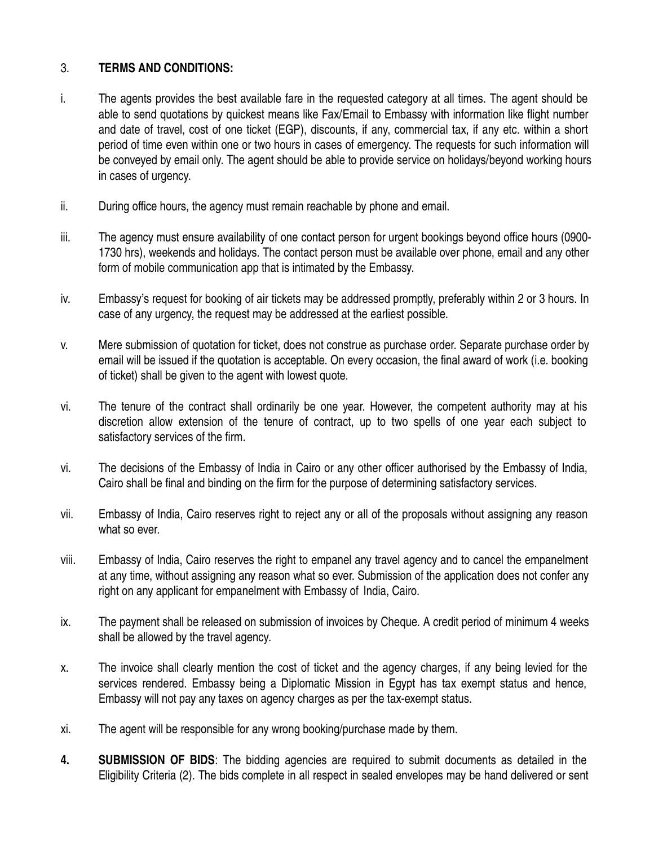# 3. **TERMS AND CONDITIONS:**

- i. The agents provides the best available fare in the requested category at all times. The agent should be able to send quotations by quickest means like Fax/Email to Embassy with information like flight number and date of travel, cost of one ticket (EGP), discounts, if any, commercial tax, if any etc. within a short period of time even within one or two hours in cases of emergency. The requests for such information will be conveyed by email only. The agent should be able to provide service on holidays/beyond working hours in cases of urgency.
- ii. During office hours, the agency must remain reachable by phone and email.
- iii. The agency must ensure availability of one contact person for urgent bookings beyond office hours (0900- 1730 hrs), weekends and holidays. The contact person must be available over phone, email and any other form of mobile communication app that is intimated by the Embassy.
- iv. Embassy's request for booking of air tickets may be addressed promptly, preferably within 2 or 3 hours. In case of any urgency, the request may be addressed at the earliest possible.
- v. Mere submission of quotation for ticket, does not construe as purchase order. Separate purchase order by email will be issued if the quotation is acceptable. On every occasion, the final award of work (i.e. booking of ticket) shall be given to the agent with lowest quote.
- vi. The tenure of the contract shall ordinarily be one year. However, the competent authority may at his discretion allow extension of the tenure of contract, up to two spells of one year each subject to satisfactory services of the firm.
- vi. The decisions of the Embassy of India in Cairo or any other officer authorised by the Embassy of India, Cairo shall be final and binding on the firm for the purpose of determining satisfactory services.
- vii. Embassy of India, Cairo reserves right to reject any or all of the proposals without assigning any reason what so ever.
- viii. Embassy of India, Cairo reserves the right to empanel any travel agency and to cancel the empanelment at any time, without assigning any reason what so ever. Submission of the application does not confer any right on any applicant for empanelment with Embassy of India, Cairo.
- ix. The payment shall be released on submission of invoices by Cheque. A credit period of minimum 4 weeks shall be allowed by the travel agency.
- x. The invoice shall clearly mention the cost of ticket and the agency charges, if any being levied for the services rendered. Embassy being a Diplomatic Mission in Egypt has tax exempt status and hence, Embassy will not pay any taxes on agency charges as per the tax-exempt status.
- xi. The agent will be responsible for any wrong booking/purchase made by them.
- **4. SUBMISSION OF BIDS**: The bidding agencies are required to submit documents as detailed in the Eligibility Criteria (2). The bids complete in all respect in sealed envelopes may be hand delivered or sent